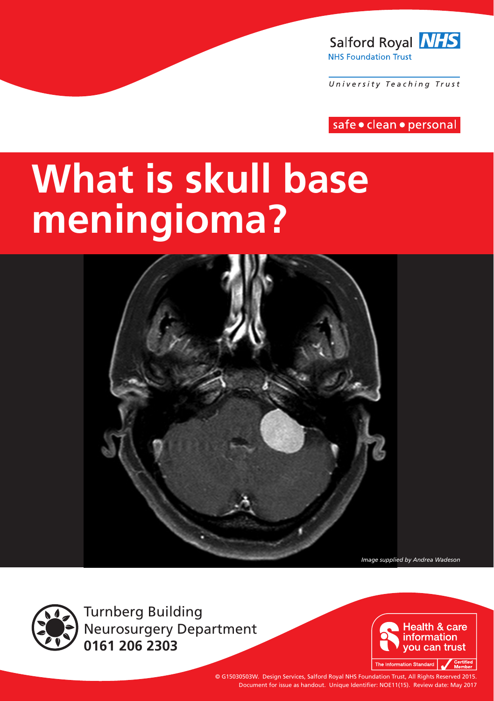

University Teaching Trust

safe · clean · personal

# **What is skull base meningioma?**



*Image supplied by Andrea Wadeson*



Turnberg Building Neurosurgery Department **0161 206 2303**



© G15030503W. Design Services, Salford Royal NHS Foundation Trust, All Rights Reserved 2015. Document for issue as handout. Unique Identifier: NOE11(15). Review date: May 2017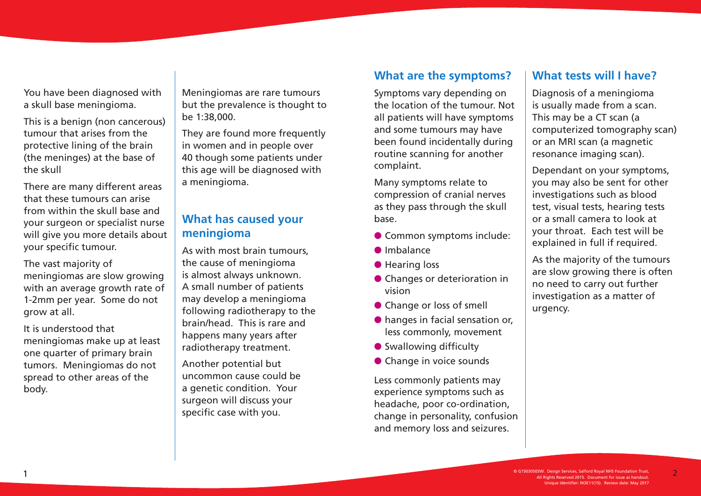You have been diagnosed with a skull base meningioma.

This is a benign (non cancerous) tumour that arises from the protective lining of the brain (the meninges) at the base of the skull

There are many different areas that these tumours can arise from within the skull base and your surgeon or specialist nurse will give you more details about your specific tumour.

The vast majority of meningiomas are slow growing with an average growth rate of 1-2mm per year. Some do not grow at all.

It is understood that meningiomas make up at least one quarter of primary brain tumors. Meningiomas do not spread to other areas of the body.

Meningiomas are rare tumours but the prevalence is thought to be 1:38,000.

They are found more frequently in women and in people over 40 though some patients under this age will be diagnosed with a meningioma.

#### **What has caused your meningioma**

As with most brain tumours, the cause of meningioma is almost always unknown. A small number of patients may develop a meningioma following radiotherapy to the brain/head. This is rare and happens many years after radiotherapy treatment.

Another potential but uncommon cause could be a genetic condition. Your surgeon will discuss your specific case with you.

#### **What are the symptoms?**

Symptoms vary depending on the location of the tumour. Not all patients will have symptoms and some tumours may have been found incidentally during routine scanning for another complaint.

Many symptoms relate to compression of cranial nerves as they pass through the skull base.

- **Common symptoms include:**
- $\bullet$  Imbalance
- **e** Hearing loss
- **Changes or deterioration in** vision
- **Change or loss of smell**
- $\bullet$  hanges in facial sensation or, less commonly, movement
- **•** Swallowing difficulty
- **Change in voice sounds**

Less commonly patients may experience symptoms such as headache, poor co-ordination, change in personality, confusion and memory loss and seizures.

#### **What tests will I have?**

Diagnosis of a meningioma is usually made from a scan. This may be a CT scan (a computerized tomography scan) or an MRI scan (a magnetic resonance imaging scan).

Dependant on your symptoms, you may also be sent for other investigations such as blood test, visual tests, hearing tests or a small camera to look at your throat. Each test will be explained in full if required.

As the majority of the tumours are slow growing there is often no need to carry out further investigation as a matter of urgency.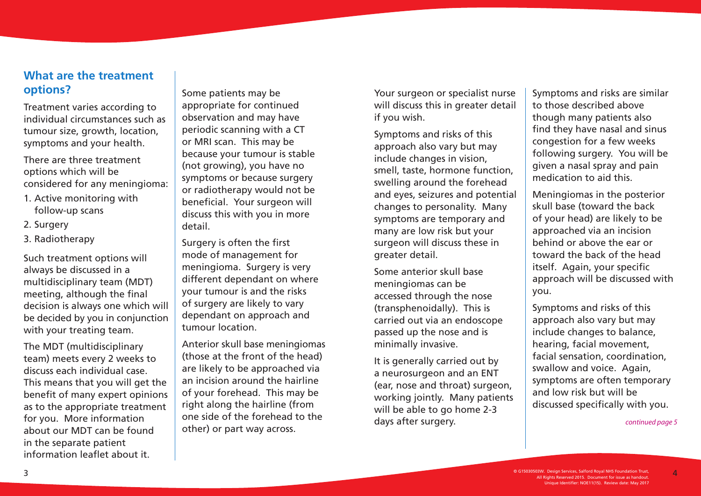#### **What are the treatment options?**

Treatment varies according to individual circumstances such as tumour size, growth, location, symptoms and your health.

There are three treatment options which will be considered for any meningioma:

- 1. Active monitoring with follow-up scans
- 2. Surgery
- 3. Radiotherapy

Such treatment options will always be discussed in a multidisciplinary team (MDT) meeting, although the final decision is always one which will be decided by you in conjunction with your treating team.

The MDT (multidisciplinary team) meets every 2 weeks to discuss each individual case. This means that you will get the benefit of many expert opinions as to the appropriate treatment for you. More information about our MDT can be found in the separate patient information leaflet about it.

Some patients may be appropriate for continued observation and may have periodic scanning with a CT or MRI scan. This may be because your tumour is stable (not growing), you have no symptoms or because surgery or radiotherapy would not be beneficial. Your surgeon will discuss this with you in more detail.

Surgery is often the first mode of management for meningioma. Surgery is very different dependant on where your tumour is and the risks of surgery are likely to vary dependant on approach and tumour location.

Anterior skull base meningiomas (those at the front of the head) are likely to be approached via an incision around the hairline of your forehead. This may be right along the hairline (from one side of the forehead to the other) or part way across.

Your surgeon or specialist nurse will discuss this in greater detail if you wish.

Symptoms and risks of this approach also vary but may include changes in vision, smell, taste, hormone function, swelling around the forehead and eyes, seizures and potential changes to personality. Many symptoms are temporary and many are low risk but your surgeon will discuss these in greater detail.

Some anterior skull base meningiomas can be accessed through the nose (transphenoidally). This is carried out via an endoscope passed up the nose and is minimally invasive.

It is generally carried out by a neurosurgeon and an ENT (ear, nose and throat) surgeon, working jointly. Many patients will be able to go home 2-3 days after surgery.

Symptoms and risks are similar to those described above though many patients also find they have nasal and sinus congestion for a few weeks following surgery. You will be given a nasal spray and pain medication to aid this.

Meningiomas in the posterior skull base (toward the back of your head) are likely to be approached via an incision behind or above the ear or toward the back of the head itself. Again, your specific approach will be discussed with you.

Symptoms and risks of this approach also vary but may include changes to balance, hearing, facial movement, facial sensation, coordination, swallow and voice. Again, symptoms are often temporary and low risk but will be discussed specifically with you.

*continued page 5*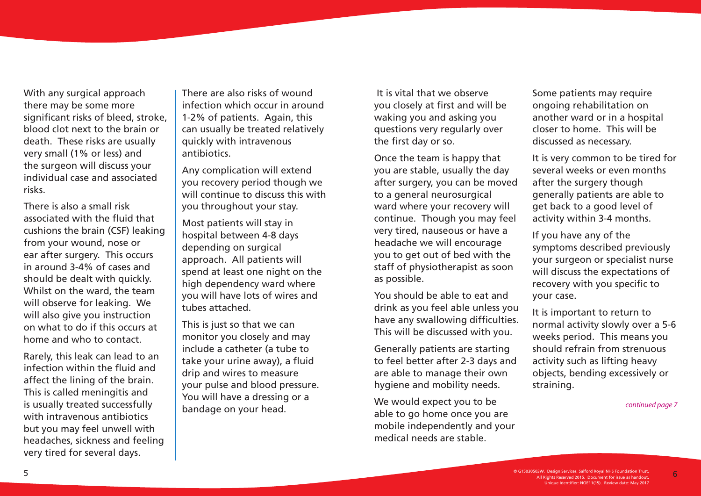With any surgical approach there may be some more significant risks of bleed, stroke, blood clot next to the brain or death. These risks are usually very small (1% or less) and the surgeon will discuss your individual case and associated risks.

There is also a small risk associated with the fluid that cushions the brain (CSF) leaking from your wound, nose or ear after surgery. This occurs in around 3-4% of cases and should be dealt with quickly. Whilst on the ward, the team will observe for leaking. We will also give you instruction on what to do if this occurs at home and who to contact.

Rarely, this leak can lead to an infection within the fluid and affect the lining of the brain. This is called meningitis and is usually treated successfully with intravenous antibiotics but you may feel unwell with headaches, sickness and feeling very tired for several days.

There are also risks of wound infection which occur in around 1-2% of patients. Again, this can usually be treated relatively quickly with intravenous antibiotics.

Any complication will extend you recovery period though we will continue to discuss this with you throughout your stay.

Most patients will stay in hospital between 4-8 days depending on surgical approach. All patients will spend at least one night on the high dependency ward where you will have lots of wires and tubes attached.

This is just so that we can monitor you closely and may include a catheter (a tube to take your urine away), a fluid drip and wires to measure your pulse and blood pressure. You will have a dressing or a bandage on your head.

 It is vital that we observe you closely at first and will be waking you and asking you questions very regularly over the first day or so.

Once the team is happy that you are stable, usually the day after surgery, you can be moved to a general neurosurgical ward where your recovery will continue. Though you may feel very tired, nauseous or have a headache we will encourage you to get out of bed with the staff of physiotherapist as soon as possible.

You should be able to eat and drink as you feel able unless you have any swallowing difficulties. This will be discussed with you.

Generally patients are starting to feel better after 2-3 days and are able to manage their own hygiene and mobility needs.

We would expect you to be able to go home once you are mobile independently and your medical needs are stable.

Some patients may require ongoing rehabilitation on another ward or in a hospital closer to home. This will be discussed as necessary.

It is very common to be tired for several weeks or even months after the surgery though generally patients are able to get back to a good level of activity within 3-4 months.

If you have any of the symptoms described previously your surgeon or specialist nurse will discuss the expectations of recovery with you specific to your case.

It is important to return to normal activity slowly over a 5-6 weeks period. This means you should refrain from strenuous activity such as lifting heavy objects, bending excessively or straining.

*continued page 7*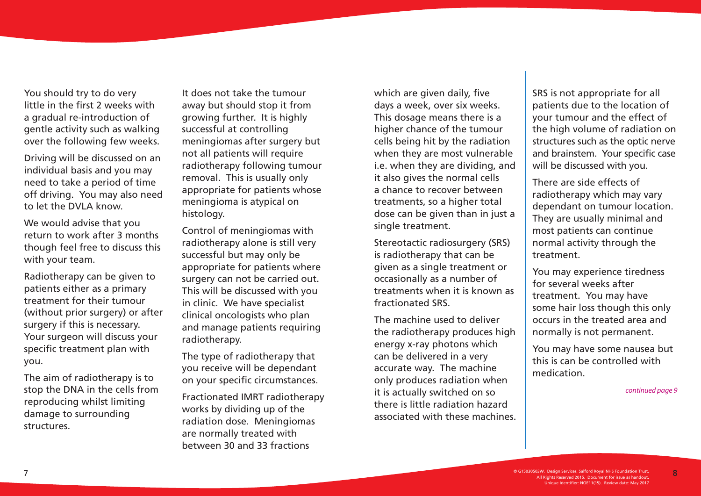You should try to do very little in the first 2 weeks with a gradual re-introduction of gentle activity such as walking over the following few weeks.

Driving will be discussed on an individual basis and you may need to take a period of time off driving. You may also need to let the DVLA know.

We would advise that you return to work after 3 months though feel free to discuss this with your team.

Radiotherapy can be given to patients either as a primary treatment for their tumour (without prior surgery) or after surgery if this is necessary. Your surgeon will discuss your specific treatment plan with you.

The aim of radiotherapy is to stop the DNA in the cells from reproducing whilst limiting damage to surrounding structures.

It does not take the tumour away but should stop it from growing further. It is highly successful at controlling meningiomas after surgery but not all patients will require radiotherapy following tumour removal. This is usually only appropriate for patients whose meningioma is atypical on histology.

Control of meningiomas with radiotherapy alone is still very successful but may only be appropriate for patients where surgery can not be carried out. This will be discussed with you in clinic. We have specialist clinical oncologists who plan and manage patients requiring radiotherapy.

The type of radiotherapy that you receive will be dependant on your specific circumstances.

Fractionated IMRT radiotherapy works by dividing up of the radiation dose. Meningiomas are normally treated with between 30 and 33 fractions

which are given daily, five days a week, over six weeks. This dosage means there is a higher chance of the tumour cells being hit by the radiation when they are most vulnerable i.e. when they are dividing, and it also gives the normal cells a chance to recover between treatments, so a higher total dose can be given than in just a single treatment.

Stereotactic radiosurgery (SRS) is radiotherapy that can be given as a single treatment or occasionally as a number of treatments when it is known as fractionated SRS.

The machine used to deliver the radiotherapy produces high energy x-ray photons which can be delivered in a very accurate way. The machine only produces radiation when it is actually switched on so there is little radiation hazard associated with these machines. SRS is not appropriate for all patients due to the location of your tumour and the effect of the high volume of radiation on structures such as the optic nerve and brainstem. Your specific case will be discussed with you.

There are side effects of radiotherapy which may vary dependant on tumour location. They are usually minimal and most patients can continue normal activity through the treatment.

You may experience tiredness for several weeks after treatment. You may have some hair loss though this only occurs in the treated area and normally is not permanent.

You may have some nausea but this is can be controlled with medication.

*continued page 9*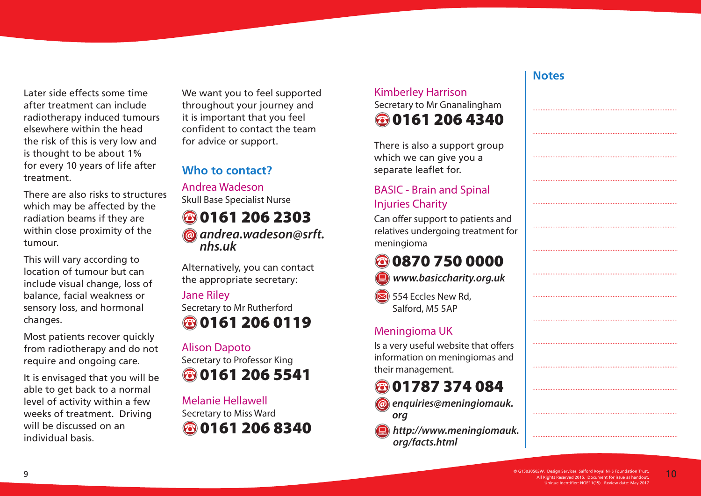Later side effects some time after treatment can include radiotherapy induced tumours elsewhere within the head the risk of this is very low and is thought to be about 1% for every 10 years of life after treatment.

There are also risks to structures which may be affected by the radiation beams if they are within close proximity of the tumour.

This will vary according to location of tumour but can include visual change, loss of balance, facial weakness or sensory loss, and hormonal changes.

Most patients recover quickly from radiotherapy and do not require and ongoing care.

It is envisaged that you will be able to get back to a normal level of activity within a few weeks of treatment. Driving will be discussed on an individual basis.

We want you to feel supported throughout your journey and it is important that you feel confident to contact the team for advice or support.

## **Who to contact?**

Andrea Wadeson Skull Base Specialist Nurse

# **80161 206 2303**

*andrea.wadeson@srft. nhs.uk*

Alternatively, you can contact the appropriate secretary:

#### Jane Riley

Secretary to Mr Rutherford **80161 206 0119** 

#### Alison Dapoto

Secretary to Professor King **80161 206 5541** 

Melanie Hellawell Secretary to Miss Ward **80161 206 8340** 

## Kimberley Harrison Secretary to Mr Gnanalingham **80161 206 4340**

There is also a support group which we can give you a separate leaflet for.

## BASIC - Brain and Spinal Injuries Charity

Can offer support to patients and relatives undergoing treatment for meningioma

# 0870 750 0000



 $\overline{\mathbf{5}}$  554 Eccles New Rd, Salford, M5 5AP

#### Meningioma UK

Is a very useful website that offers information on meningiomas and their management.

## **801787 374 084**

- *enquiries@meningiomauk. org*
- *http://www.meningiomauk. org/facts.html*

#### **Notes**